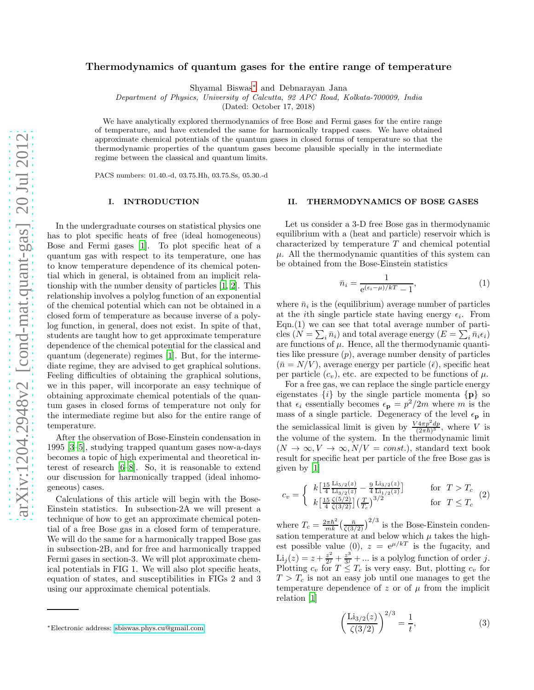# Thermodynamics of quantum gases for the entire range of temperature

Shyamal Biswas[∗](#page-0-0) and Debnarayan Jana

Department of Physics, University of Calcutta, 92 APC Road, Kolkata-700009, India

(Dated: October 17, 2018)

We have analytically explored thermodynamics of free Bose and Fermi gases for the entire range of temperature, and have extended the same for harmonically trapped cases. We have obtained approximate chemical potentials of the quantum gases in closed forms of temperature so that the thermodynamic properties of the quantum gases become plausible specially in the intermediate regime between the classical and quantum limits.

PACS numbers: 01.40.-d, 03.75.Hh, 03.75.Ss, 05.30.-d

## I. INTRODUCTION

In the undergraduate courses on statistical physics one has to plot specific heats of free (ideal homogeneous) Bose and Fermi gases [\[1](#page-4-0)]. To plot specific heat of a quantum gas with respect to its temperature, one has to know temperature dependence of its chemical potential which in general, is obtained from an implicit relationship with the number density of particles [\[1](#page-4-0), [2\]](#page-4-1). This relationship involves a polylog function of an exponential of the chemical potential which can not be obtained in a closed form of temperature as because inverse of a polylog function, in general, does not exist. In spite of that, students are taught how to get approximate temperature dependence of the chemical potential for the classical and quantum (degenerate) regimes [\[1\]](#page-4-0). But, for the intermediate regime, they are advised to get graphical solutions. Feeling difficulties of obtaining the graphical solutions, we in this paper, will incorporate an easy technique of obtaining approximate chemical potentials of the quantum gases in closed forms of temperature not only for the intermediate regime but also for the entire range of temperature.

After the observation of Bose-Einstein condensation in 1995 [\[3](#page-4-2)[–5](#page-4-3)], studying trapped quantum gases now-a-days becomes a topic of high experimental and theoretical interest of research [\[6](#page-4-4)[–8\]](#page-4-5). So, it is reasonable to extend our discussion for harmonically trapped (ideal inhomogeneous) cases.

Calculations of this article will begin with the Bose-Einstein statistics. In subsection-2A we will present a technique of how to get an approximate chemical potential of a free Bose gas in a closed form of temperature. We will do the same for a harmonically trapped Bose gas in subsection-2B, and for free and harmonically trapped Fermi gases in section-3. We will plot approximate chemical potentials in FIG 1. We will also plot specific heats, equation of states, and susceptibilities in FIGs 2 and 3 using our approximate chemical potentials.

## II. THERMODYNAMICS OF BOSE GASES

Let us consider a 3-D free Bose gas in thermodynamic equilibrium with a (heat and particle) reservoir which is characterized by temperature T and chemical potential  $\mu$ . All the thermodynamic quantities of this system can be obtained from the Bose-Einstein statistics

$$
\bar{n}_i = \frac{1}{e^{(\epsilon_i - \mu)/kT} - 1},\tag{1}
$$

where  $\bar{n}_i$  is the (equilibrium) average number of particles at the *i*th single particle state having energy  $\epsilon_i$ . From Eqn.(1) we can see that total average number of particles  $(N = \sum_i \bar{n}_i)$  and total average energy  $(E = \sum_i \bar{n}_i \epsilon_i)$ are functions of  $\mu$ . Hence, all the thermodynamic quantities like pressure  $(p)$ , average number density of particles  $(\bar{n} = N/V)$ , average energy per particle  $(\bar{\epsilon})$ , specific heat per particle  $(c_v)$ , etc. are expected to be functions of  $\mu$ .

For a free gas, we can replace the single particle energy eigenstates  $\{i\}$  by the single particle momenta  $\{p\}$  so that  $\epsilon_i$  essentially becomes  $\epsilon_{\bf p} = p^2/2m$  where m is the mass of a single particle. Degeneracy of the level  $\epsilon_{\mathbf{p}}$  in the semiclassical limit is given by  $\frac{V4\pi p^2dp}{(2\pi\hbar)^3}$ , where V is the volume of the system. In the thermodynamic limit  $(N \to \infty, V \to \infty, N/V = const.)$ , standard text book result for specific heat per particle of the free Bose gas is given by [\[1\]](#page-4-0)

$$
c_v = \begin{cases} k \left[ \frac{15}{4} \frac{\text{Li}_{5/2}(z)}{\text{Li}_{3/2}(z)} - \frac{9}{4} \frac{\text{Li}_{3/2}(z)}{\text{Li}_{1/2}(z)} \right] & \text{for } T > T_c\\ k \left[ \frac{15}{4} \frac{\zeta(5/2)}{\zeta(3/2)} \right] \left( \frac{T}{T_c} \right)^{3/2} & \text{for } T \le T_c \end{cases} (2)
$$

where  $T_c = \frac{2\pi\hbar^2}{mk} \left(\frac{\bar{n}}{\zeta(3/2)}\right)^{2/3}$  is the Bose-Einstein condensation temperature at and below which  $\mu$  takes the highest possible value (0),  $z = e^{\mu/kT}$  is the fugacity, and  $\overline{\text{Li}_j(z)} = z + \frac{z^2}{2^j}$  $rac{z^2}{2^j} + \frac{z^3}{3^j}$  $\frac{z^3}{3^j} + \dots$  is a polylog function of order j. Plotting  $c_v$  for  $T \leq T_c$  is very easy. But, plotting  $c_v$  for  $T > T_c$  is not an easy job until one manages to get the temperature dependence of z or of  $\mu$  from the implicit relation [\[1](#page-4-0)]

$$
\left(\frac{\text{Li}_{3/2}(z)}{\zeta(3/2)}\right)^{2/3} = \frac{1}{t},\tag{3}
$$

<span id="page-0-0"></span><sup>∗</sup>Electronic address: [sbiswas.phys.cu@gmail.com](mailto:sbiswas.phys.cu@gmail.com)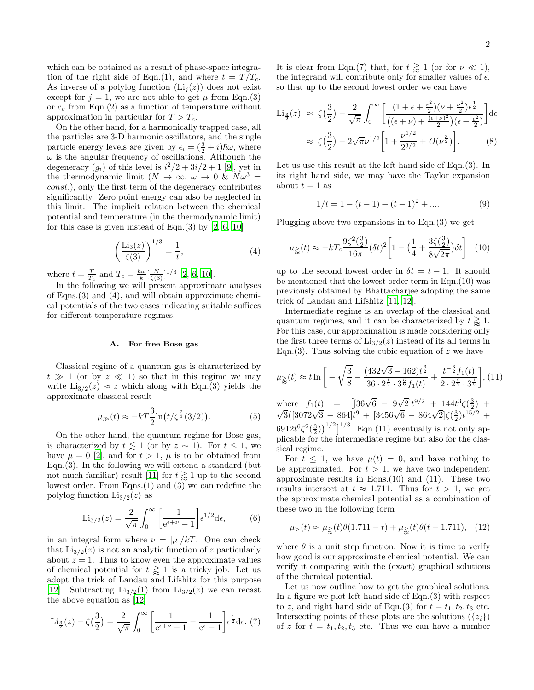which can be obtained as a result of phase-space integration of the right side of Eqn.(1), and where  $t = T/T_c$ . As inverse of a polylog function  $(Li_i(z))$  does not exist except for  $j = 1$ , we are not able to get  $\mu$  from Eqn.(3) or  $c_v$  from Eqn.(2) as a function of temperature without approximation in particular for  $T > T_c$ .

On the other hand, for a harmonically trapped case, all the particles are 3-D harmonic oscillators, and the single particle energy levels are given by  $\epsilon_i = (\frac{3}{2} + i)\hbar\omega$ , where  $\omega$  is the angular frequency of oscillations. Although the degeneracy  $(g_i)$  of this level is  $i^2/2 + 3i/2 + 1$  [\[9](#page-4-6)], yet in the thermodynamic limit  $(N \to \infty, \omega \to 0 \& N\omega^3 =$ const.), only the first term of the degeneracy contributes significantly. Zero point energy can also be neglected in this limit. The implicit relation between the chemical potential and temperature (in the thermodynamic limit) for this case is given instead of Eqn. $(3)$  by  $[2, 6, 10]$  $[2, 6, 10]$  $[2, 6, 10]$ 

$$
\left(\frac{\text{Li}_3(z)}{\zeta(3)}\right)^{1/3} = \frac{1}{t},\tag{4}
$$

where  $t = \frac{T}{T_c}$  and  $T_c = \frac{\hbar\omega}{k} \left[\frac{N}{\zeta(3)}\right]^{1/3}$  [\[2](#page-4-1), [6](#page-4-4), [10](#page-4-7)].

In the following we will present approximate analyses of Eqns.(3) and (4), and will obtain approximate chemical potentials of the two cases indicating suitable suffices for different temperature regimes.

#### A. For free Bose gas

Classical regime of a quantum gas is characterized by  $t \gg 1$  (or by  $z \ll 1$ ) so that in this regime we may write  $\text{Li}_{3/2}(z) \approx z$  which along with Eqn.(3) yields the approximate classical result

$$
\mu_{\gg}(t) \approx -kT \frac{3}{2} \ln \left( t/\zeta^{\frac{2}{3}}(3/2) \right). \tag{5}
$$

On the other hand, the quantum regime for Bose gas, is characterized by  $t \lesssim 1$  (or by  $z \sim 1$ ). For  $t \leq 1$ , we have  $\mu = 0$  [\[2\]](#page-4-1), and for  $t > 1$ ,  $\mu$  is to be obtained from Eqn. $(3)$ . In the following we will extend a standard (but not much familiar) result [\[11\]](#page-4-8) for  $t \gtrapprox 1$  up to the second lowest order. From Eqns.(1) and (3) we can redefine the polylog function  $Li_{3/2}(z)$  as

$$
\text{Li}_{3/2}(z) = \frac{2}{\sqrt{\pi}} \int_0^\infty \left[ \frac{1}{e^{\epsilon + \nu} - 1} \right] e^{1/2} d\epsilon, \tag{6}
$$

in an integral form where  $\nu = |\mu|/kT$ . One can check that  $\text{Li}_{3/2}(z)$  is not an analytic function of z particularly about  $z = 1$ . Thus to know even the approximate values of chemical potential for  $t \geq 1$  is a tricky job. Let us adopt the trick of Landau and Lifshitz for this purpose [\[12\]](#page-4-9). Subtracting  $Li_{3/2}(1)$  from  $Li_{3/2}(z)$  we can recast the above equation as [\[12\]](#page-4-9)

$$
\text{Li}_{\frac{3}{2}}(z) - \zeta\left(\frac{3}{2}\right) = \frac{2}{\sqrt{\pi}} \int_0^\infty \left[ \frac{1}{e^{\epsilon + \nu} - 1} - \frac{1}{e^{\epsilon} - 1} \right] e^{\frac{1}{2}} d\epsilon. (7)
$$

It is clear from Eqn.(7) that, for  $t \gtrsim 1$  (or for  $\nu \ll 1$ ), the integrand will contribute only for smaller values of  $\epsilon$ , so that up to the second lowest order we can have

$$
\text{Li}_{\frac{3}{2}}(z) \approx \zeta(\frac{3}{2}) - \frac{2}{\sqrt{\pi}} \int_0^\infty \left[ \frac{\left(1 + \epsilon + \frac{\epsilon^2}{2}\right)(\nu + \frac{\nu^2}{2})\epsilon^{\frac{1}{2}}}{\left((\epsilon + \nu) + \frac{(\epsilon + \nu)^2}{2}\right)(\epsilon + \frac{\epsilon^2}{2})} \right] d\epsilon
$$
\n
$$
\approx \zeta(\frac{3}{2}) - 2\sqrt{\pi}\nu^{1/2} \left[ 1 + \frac{\nu^{1/2}}{2^{3/2}} + O(\nu^{\frac{3}{2}}) \right]. \tag{8}
$$

Let us use this result at the left hand side of Eqn.(3). In its right hand side, we may have the Taylor expansion about  $t = 1$  as

$$
1/t = 1 - (t - 1) + (t - 1)^{2} + \dots
$$
 (9)

Plugging above two expansions in to Eqn.(3) we get

$$
\mu_{\geq 0}(t) \approx -kT_c \frac{9\zeta^2(\frac{3}{2})}{16\pi} (\delta t)^2 \left[ 1 - \left( \frac{1}{4} + \frac{3\zeta(\frac{3}{2})}{8\sqrt{2\pi}} \right) \delta t \right] \tag{10}
$$

up to the second lowest order in  $\delta t = t - 1$ . It should be mentioned that the lowest order term in Eqn.(10) was previously obtained by Bhattacharjee adopting the same trick of Landau and Lifshitz [\[11,](#page-4-8) [12\]](#page-4-9).

Intermediate regime is an overlap of the classical and quantum regimes, and it can be characterized by  $t \geq 1$ . For this case, our approximation is made considering only the first three terms of  $\text{Li}_{3/2}(z)$  instead of its all terms in Eqn.(3). Thus solving the cubic equation of  $z$  we have

$$
\mu_{\geq 0}(t) \approx t \ln \left[ -\sqrt{\frac{3}{8}} - \frac{(432\sqrt{3} - 162)t^{\frac{3}{2}}}{36 \cdot 2^{\frac{1}{3}} \cdot 3^{\frac{5}{6}} f_1(t)} + \frac{t^{-\frac{3}{2}} f_1(t)}{2 \cdot 2^{\frac{2}{3}} \cdot 3^{\frac{1}{6}}}\right], (11)
$$
\nwhere  $f_1(t) = \left[ [36\sqrt{6} - 9\sqrt{2}]t^{9/2} + 144t^3\zeta(\frac{3}{2}) + \sqrt{3}([3072\sqrt{3} - 864]t^9 + [3456\sqrt{6} - 864\sqrt{2}]\zeta(\frac{3}{2})t^{15/2} + 6912t^6\zeta^2(\frac{3}{2})\right]^{1/2} \right]$ <sup>1/3</sup>. Eqn.(11) eventually is not only applicable for the intermediate regime but also for the class.

plicable for the intermediate regime but also for the classical regime. For  $t \leq 1$ , we have  $\mu(t) = 0$ , and have nothing to

be approximated. For  $t > 1$ , we have two independent approximate results in Eqns. $(10)$  and  $(11)$ . These two results intersect at  $t \approx 1.711$ . Thus for  $t > 1$ , we get the approximate chemical potential as a combination of these two in the following form

$$
\mu_{>}(t) \approx \mu_{\geq}(t)\theta(1.711 - t) + \mu_{\geq}(t)\theta(t - 1.711), \quad (12)
$$

where  $\theta$  is a unit step function. Now it is time to verify how good is our approximate chemical potential. We can verify it comparing with the (exact) graphical solutions of the chemical potential.

Let us now outline how to get the graphical solutions. In a figure we plot left hand side of Eqn.(3) with respect to z, and right hand side of Eqn.(3) for  $t = t_1, t_2, t_3$  etc. Intersecting points of these plots are the solutions  $({z_i})$ of z for  $t = t_1, t_2, t_3$  etc. Thus we can have a number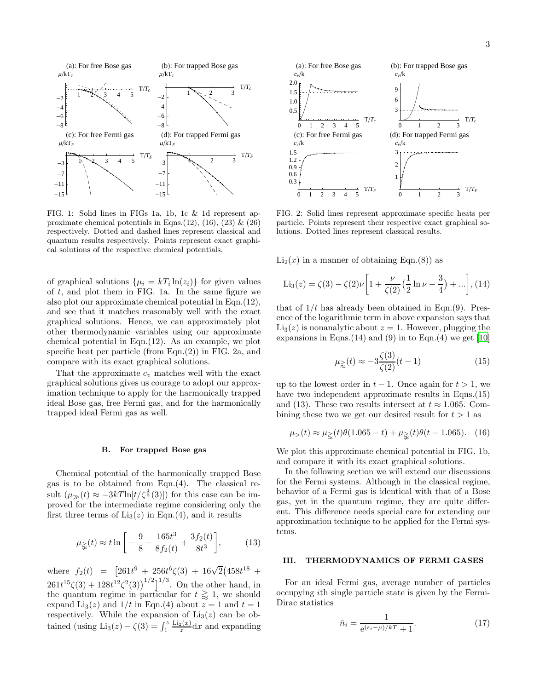

FIG. 1: Solid lines in FIGs 1a, 1b, 1c & 1d represent approximate chemical potentials in Eqns.(12), (16), (23)  $\&$  (26) respectively. Dotted and dashed lines represent classical and quantum results respectively. Points represent exact graphical solutions of the respective chemical potentials.

of graphical solutions  $\{\mu_i = kT_i \ln(z_i)\}\$ for given values of  $t$ , and plot them in FIG. 1a. In the same figure we also plot our approximate chemical potential in Eqn.(12), and see that it matches reasonably well with the exact graphical solutions. Hence, we can approximately plot other thermodynamic variables using our approximate chemical potential in Eqn.(12). As an example, we plot specific heat per particle (from Eqn.(2)) in FIG. 2a, and compare with its exact graphical solutions.

That the approximate  $c_v$  matches well with the exact graphical solutions gives us courage to adopt our approximation technique to apply for the harmonically trapped ideal Bose gas, free Fermi gas, and for the harmonically trapped ideal Fermi gas as well.

#### B. For trapped Bose gas

Chemical potential of the harmonically trapped Bose gas is to be obtained from Eqn.(4). The classical result  $(\mu_{\gg}(t) \approx -3kT \ln[t/\zeta^{\frac{1}{3}}(3)])$  for this case can be improved for the intermediate regime considering only the first three terms of  $\text{Li}_3(z)$  in Eqn.(4), and it results

$$
\mu_{\geqslant}(t) \approx t \ln \left[ -\frac{9}{8} - \frac{165t^3}{8f_2(t)} + \frac{3f_2(t)}{8t^3} \right],\tag{13}
$$

where  $f_2(t) = \left[261t^9 + 256t^6\zeta(3) + 16\sqrt{2}\right]458t^{18} +$  $261t^{15}\zeta(3) + 128t^{12}\zeta^2(3)\big)^{1/2}\big]^{1/3}$ . On the other hand, in the quantum regime in particular for  $t \gtrsim 1$ , we should expand Li<sub>3</sub>(*z*) and  $1/t$  in Eqn.(4) about  $z = 1$  and  $t = 1$ respectively. While the expansion of  $Li<sub>3</sub>(z)$  can be obtained (using  $\text{Li}_3(z) - \zeta(3) = \int_1^z$  $\mathrm{Li}_2(x)$  $\frac{d^2(x)}{dx}dx$  and expanding



FIG. 2: Solid lines represent approximate specific heats per particle. Points represent their respective exact graphical solutions. Dotted lines represent classical results.

 $Li<sub>2</sub>(x)$  in a manner of obtaining Eqn.(8)) as

$$
\text{Li}_3(z) = \zeta(3) - \zeta(2)\nu \left[ 1 + \frac{\nu}{\zeta(2)} \left( \frac{1}{2} \ln \nu - \frac{3}{4} \right) + \dots \right], (14)
$$

that of  $1/t$  has already been obtained in Eqn.(9). Presence of the logarithmic term in above expansion says that  $Li<sub>3</sub>(z)$  is nonanalytic about  $z = 1$ . However, plugging the expansions in Eqns.  $(14)$  and  $(9)$  in to Eqn.  $(4)$  we get  $[10]$ 

$$
\mu_{\geq}(t) \approx -3\frac{\zeta(3)}{\zeta(2)}(t-1) \tag{15}
$$

up to the lowest order in  $t - 1$ . Once again for  $t > 1$ , we have two independent approximate results in Eqns. (15) and (13). These two results intersect at  $t \approx 1.065$ . Combining these two we get our desired result for  $t > 1$  as

$$
\mu_{>}(t) \approx \mu_{\geq}(t)\theta(1.065 - t) + \mu_{\geq}(t)\theta(t - 1.065). \quad (16)
$$

We plot this approximate chemical potential in FIG. 1b, and compare it with its exact graphical solutions.

In the following section we will extend our discussions for the Fermi systems. Although in the classical regime, behavior of a Fermi gas is identical with that of a Bose gas, yet in the quantum regime, they are quite different. This difference needs special care for extending our approximation technique to be applied for the Fermi systems.

#### III. THERMODYNAMICS OF FERMI GASES

For an ideal Fermi gas, average number of particles occupying ith single particle state is given by the Fermi-Dirac statistics

$$
\bar{n}_i = \frac{1}{e^{(\epsilon_i - \mu)/k} + 1}.\tag{17}
$$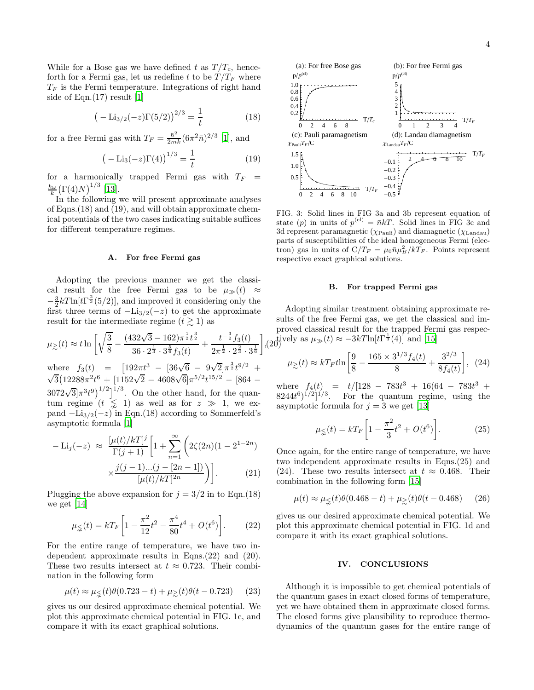While for a Bose gas we have defined t as  $T/T_c$ , henceforth for a Fermi gas, let us redefine t to be  $T/T_F$  where  $T_F$  is the Fermi temperature. Integrations of right hand side of Eqn.(17) result [\[1](#page-4-0)]

$$
\left(-\text{Li}_{3/2}(-z)\Gamma(5/2)\right)^{2/3} = \frac{1}{t} \tag{18}
$$

for a free Fermi gas with  $T_F = \frac{\hbar^2}{2mk} (6\pi^2 \bar{n})^{2/3}$  [\[1](#page-4-0)], and

$$
(-\text{Li}_3(-z)\Gamma(4))^{1/3} = \frac{1}{t}
$$
 (19)

for a harmonically trapped Fermi gas with  $T_F$  =  $\frac{\hbar\omega}{k}(\Gamma(4)N)^{1/3}$  [\[13\]](#page-4-10).

In the following we will present approximate analyses of Eqns.(18) and (19), and will obtain approximate chemical potentials of the two cases indicating suitable suffices for different temperature regimes.

## A. For free Fermi gas

Adopting the previous manner we get the classical result for the free Fermi gas to be  $\mu_{\gg}(t) \approx$  $-\frac{3}{2}kT\ln[t\Gamma^{\frac{2}{3}}(5/2)],$  and improved it considering only the first three terms of  $-Li_{3/2}(-z)$  to get the approximate result for the intermediate regime  $(t \gtrsim 1)$  as

$$
\mu_{\gtrsim}(t) \approx t \ln \left[ \sqrt{\frac{3}{8}} - \frac{(432\sqrt{3} - 162)\pi^{\frac{1}{2}}t^{\frac{3}{2}}}{36 \cdot 2^{\frac{1}{3}} \cdot 3^{\frac{5}{6}}f_3(t)} + \frac{t^{-\frac{3}{2}}f_3(t)}{2\pi^{\frac{1}{2}} \cdot 2^{\frac{2}{3}} \cdot 3^{\frac{1}{6}}} \right],
$$

where  $f_3(t) = [192\pi t^3 - [36\sqrt{6} - 9\sqrt{2}]\pi^{\frac{3}{2}}t^{9/2} +$  $\sqrt{3}(12288\pi^2t^6 + 1152\sqrt{2} - 4608\sqrt{6}]\pi^{5/2}t^{15/2} - [864 3072\sqrt{3}[\pi^{3}t^{9}]^{1/2}]^{1/3}$ . On the other hand, for the quantum regime  $(t \leq 1)$  as well as for  $z \geq 1$ , we expand  $-Li_{3/2}(-z)$  in Eqn.(18) according to Sommerfeld's asymptotic formula [\[1\]](#page-4-0)

$$
-\text{Li}_j(-z) \approx \frac{[\mu(t)/kT]^j}{\Gamma(j+1)} \left[ 1 + \sum_{n=1}^{\infty} \left( 2\zeta(2n)(1 - 2^{1-2n}) \times \frac{j(j-1)\dots(j-[2n-1])}{[\mu(t)/kT]^{2n}} \right) \right].
$$
 (21)

Plugging the above expansion for  $j = 3/2$  in to Eqn.(18) we get [\[14](#page-4-11)]

$$
\mu_{\leq}(t) = kT_F \left[ 1 - \frac{\pi^2}{12} t^2 - \frac{\pi^4}{80} t^4 + O(t^6) \right].
$$
 (22)

For the entire range of temperature, we have two independent approximate results in Eqns.(22) and (20). These two results intersect at  $t \approx 0.723$ . Their combination in the following form

$$
\mu(t) \approx \mu_{\lesssim}(t)\theta(0.723 - t) + \mu_{\gtrsim}(t)\theta(t - 0.723)
$$
 (23)

gives us our desired approximate chemical potential. We plot this approximate chemical potential in FIG. 1c, and compare it with its exact graphical solutions.



FIG. 3: Solid lines in FIG 3a and 3b represent equation of state (p) in units of  $p^{(cl)} = \bar{n}kT$ . Solid lines in FIG 3c and 3d represent paramagnetic  $(\chi_{Pauli})$  and diamagnetic  $(\chi_{Landau})$ parts of susceptibilities of the ideal homogeneous Fermi (electron) gas in units of  $C/T_F = \mu_0 \bar{n} \mu_B^2 / kT_F$ . Points represent respective exact graphical solutions.

#### B. For trapped Fermi gas

 $\lim_{t \to 0}$  tively as  $\mu_{\gg}(t) \approx -3kT \ln[t\Gamma^{\frac{1}{3}}(4)]$  and [\[15](#page-4-12)] Adopting similar treatment obtaining approximate results of the free Fermi gas, we get the classical and improved classical result for the trapped Fermi gas respec-

$$
\mu_{\gtrsim}(t) \approx kT_F t \ln \left[ \frac{9}{8} - \frac{165 \times 3^{1/3} f_4(t)}{8} + \frac{3^{2/3}}{8 f_4(t)} \right], \tag{24}
$$

where  $f_4(t) = t/[128 - 783t^3 + 16(64 - 783t^3 +$  $8244t^6$ <sup>1/2</sup>]<sup>1/3</sup>. For the quantum regime, using the asymptotic formula for  $j = 3$  we get [\[13](#page-4-10)]

$$
\mu_{\leq}(t) = kT_F \left[ 1 - \frac{\pi^2}{3} t^2 + O(t^6) \right].
$$
 (25)

Once again, for the entire range of temperature, we have two independent approximate results in Eqns.(25) and (24). These two results intersect at  $t \approx 0.468$ . Their combination in the following form [\[15\]](#page-4-12)

$$
\mu(t) \approx \mu_{\leq}(t)\theta(0.468 - t) + \mu_{\geq}(t)\theta(t - 0.468) \tag{26}
$$

gives us our desired approximate chemical potential. We plot this approximate chemical potential in FIG. 1d and compare it with its exact graphical solutions.

### IV. CONCLUSIONS

Although it is impossible to get chemical potentials of the quantum gases in exact closed forms of temperature, yet we have obtained them in approximate closed forms. The closed forms give plausibility to reproduce thermodynamics of the quantum gases for the entire range of